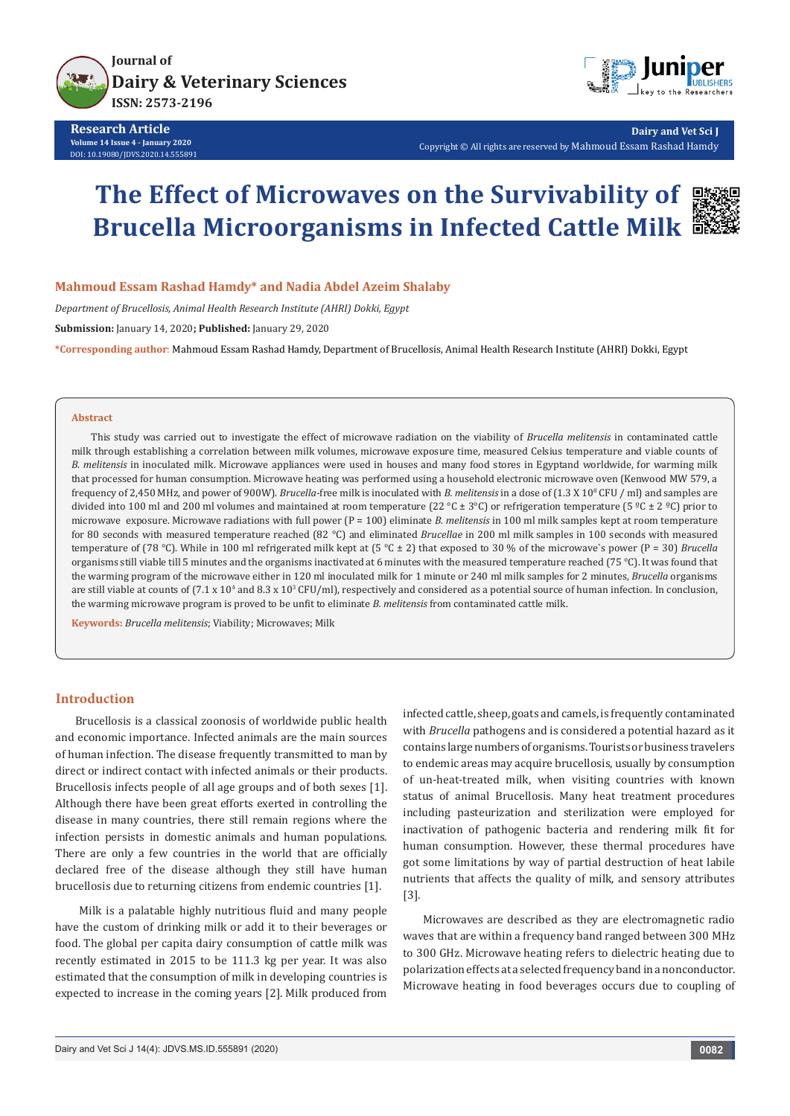

**Research Article Volume 14 Issue 4 - January 2020** DOI: [10.19080/JDVS.2020.14.555891](http://dx.doi.org/10.19080/JDVS.2020.14.555891)



**Dairy and Vet Sci J** Copyright © All rights are reserved by Mahmoud Essam Rashad Hamdy

# **The Effect of Microwaves on the Survivability of Brucella Microorganisms in Infected Cattle Milk**



*Department of Brucellosis, Animal Health Research Institute (AHRI) Dokki, Egypt* **Submission:** January 14, 2020**; Published:** January 29, 2020 **\*Corresponding author**: Mahmoud Essam Rashad Hamdy, Department of Brucellosis, Animal Health Research Institute (AHRI) Dokki, Egypt

#### **Abstract**

This study was carried out to investigate the effect of microwave radiation on the viability of *Brucella melitensis* in contaminated cattle milk through establishing a correlation between milk volumes, microwave exposure time, measured Celsius temperature and viable counts of *B. melitensis* in inoculated milk. Microwave appliances were used in houses and many food stores in Egyptand worldwide, for warming milk that processed for human consumption. Microwave heating was performed using a household electronic microwave oven (Kenwood MW 579, a frequency of 2,450 MHz, and power of 900W). *Brucella*-free milk is inoculated with *B. melitensis* in a dose of (1.3 X 108 CFU / ml) and samples are divided into 100 ml and 200 ml volumes and maintained at room temperature (22 °C ± 3°C) or refrigeration temperature (5 °C ± 2 °C) prior to microwave exposure. Microwave radiations with full power (P = 100) eliminate *B. melitensis* in 100 ml milk samples kept at room temperature for 80 seconds with measured temperature reached (82 °C) and eliminated *Brucellae* in 200 ml milk samples in 100 seconds with measured temperature of (78 °C). While in 100 ml refrigerated milk kept at (5 °C ± 2) that exposed to 30 % of the microwave`s power (P = 30) *Brucella* organisms still viable till 5 minutes and the organisms inactivated at 6 minutes with the measured temperature reached (75 °C). It was found that the warming program of the microwave either in 120 ml inoculated milk for 1 minute or 240 ml milk samples for 2 minutes, *Brucella* organisms are still viable at counts of (7.1 x 10<sup>4</sup> and 8.3 x 10<sup>3</sup> CFU/ml), respectively and considered as a potential source of human infection. In conclusion, the warming microwave program is proved to be unfit to eliminate *B. melitensis* from contaminated cattle milk.

**Keywords:** *Brucella melitensis*; Viability; Microwaves; Milk

#### **Introduction**

Brucellosis is a classical zoonosis of worldwide public health and economic importance. Infected animals are the main sources of human infection. The disease frequently transmitted to man by direct or indirect contact with infected animals or their products. Brucellosis infects people of all age groups and of both sexes [1]. Although there have been great efforts exerted in controlling the disease in many countries, there still remain regions where the infection persists in domestic animals and human populations. There are only a few countries in the world that are officially declared free of the disease although they still have human brucellosis due to returning citizens from endemic countries [1].

 Milk is a palatable highly nutritious fluid and many people have the custom of drinking milk or add it to their beverages or food. The global per capita dairy consumption of cattle milk was recently estimated in 2015 to be 111.3 kg per year. It was also estimated that the consumption of milk in developing countries is expected to increase in the coming years [2]. Milk produced from infected cattle, sheep, goats and camels, is frequently contaminated with *Brucella* pathogens and is considered a potential hazard as it contains large numbers of organisms. Tourists or business travelers to endemic areas may acquire brucellosis, usually by consumption of un-heat-treated milk, when visiting countries with known status of animal Brucellosis. Many heat treatment procedures including pasteurization and sterilization were employed for inactivation of pathogenic bacteria and rendering milk fit for human consumption. However, these thermal procedures have got some limitations by way of partial destruction of heat labile nutrients that affects the quality of milk, and sensory attributes [3].

Microwaves are described as they are electromagnetic radio waves that are within a frequency band ranged between 300 MHz to 300 GHz. Microwave heating refers to dielectric heating due to polarization effects at a selected frequency band in a nonconductor. Microwave heating in food beverages occurs due to coupling of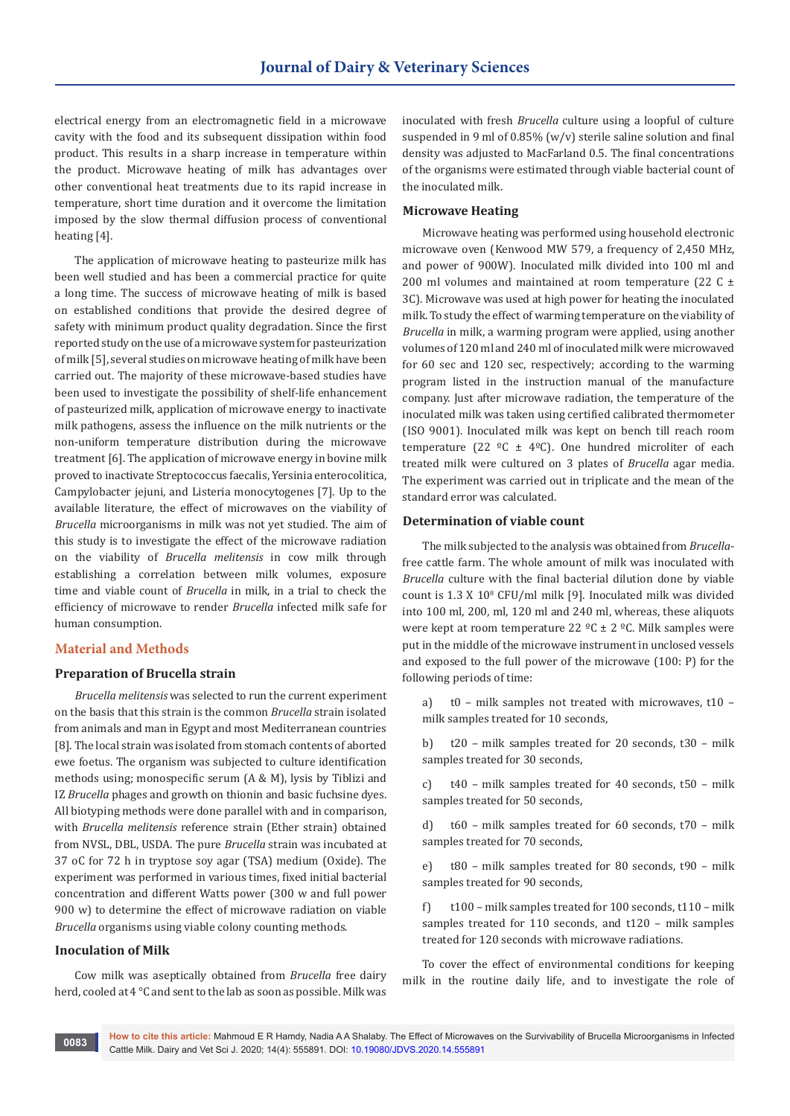electrical energy from an electromagnetic field in a microwave cavity with the food and its subsequent dissipation within food product. This results in a sharp increase in temperature within the product. Microwave heating of milk has advantages over other conventional heat treatments due to its rapid increase in temperature, short time duration and it overcome the limitation imposed by the slow thermal diffusion process of conventional heating [4].

The application of microwave heating to pasteurize milk has been well studied and has been a commercial practice for quite a long time. The success of microwave heating of milk is based on established conditions that provide the desired degree of safety with minimum product quality degradation. Since the first reported study on the use of a microwave system for pasteurization of milk [5], several studies on microwave heating of milk have been carried out. The majority of these microwave-based studies have been used to investigate the possibility of shelf-life enhancement of pasteurized milk, application of microwave energy to inactivate milk pathogens, assess the influence on the milk nutrients or the non-uniform temperature distribution during the microwave treatment [6]. The application of microwave energy in bovine milk proved to inactivate Streptococcus faecalis, Yersinia enterocolitica, Campylobacter jejuni, and Listeria monocytogenes [7]. Up to the available literature, the effect of microwaves on the viability of *Brucella* microorganisms in milk was not yet studied. The aim of this study is to investigate the effect of the microwave radiation on the viability of *Brucella melitensis* in cow milk through establishing a correlation between milk volumes, exposure time and viable count of *Brucella* in milk, in a trial to check the efficiency of microwave to render *Brucella* infected milk safe for human consumption.

#### **Material and Methods**

# **Preparation of Brucella strain**

*Brucella melitensis* was selected to run the current experiment on the basis that this strain is the common *Brucella* strain isolated from animals and man in Egypt and most Mediterranean countries [8]. The local strain was isolated from stomach contents of aborted ewe foetus. The organism was subjected to culture identification methods using; monospecific serum (A & M), lysis by Tiblizi and IZ *Brucella* phages and growth on thionin and basic fuchsine dyes. All biotyping methods were done parallel with and in comparison, with *Brucella melitensis* reference strain (Ether strain) obtained from NVSL, DBL, USDA. The pure *Brucella* strain was incubated at 37 oC for 72 h in tryptose soy agar (TSA) medium (Oxide). The experiment was performed in various times, fixed initial bacterial concentration and different Watts power (300 w and full power 900 w) to determine the effect of microwave radiation on viable *Brucella* organisms using viable colony counting methods.

#### **Inoculation of Milk**

Cow milk was aseptically obtained from *Brucella* free dairy herd, cooled at 4 °C and sent to the lab as soon as possible. Milk was inoculated with fresh *Brucella* culture using a loopful of culture suspended in 9 ml of 0.85% (w/v) sterile saline solution and final density was adjusted to MacFarland 0.5. The final concentrations of the organisms were estimated through viable bacterial count of the inoculated milk.

#### **Microwave Heating**

Microwave heating was performed using household electronic microwave oven (Kenwood MW 579, a frequency of 2,450 MHz, and power of 900W). Inoculated milk divided into 100 ml and 200 ml volumes and maintained at room temperature (22 C  $\pm$ 3C). Microwave was used at high power for heating the inoculated milk. To study the effect of warming temperature on the viability of *Brucella* in milk, a warming program were applied, using another volumes of 120 ml and 240 ml of inoculated milk were microwaved for 60 sec and 120 sec, respectively; according to the warming program listed in the instruction manual of the manufacture company. Just after microwave radiation, the temperature of the inoculated milk was taken using certified calibrated thermometer (ISO 9001). Inoculated milk was kept on bench till reach room temperature (22  $°C \pm 4°C$ ). One hundred microliter of each treated milk were cultured on 3 plates of *Brucella* agar media. The experiment was carried out in triplicate and the mean of the standard error was calculated.

#### **Determination of viable count**

The milk subjected to the analysis was obtained from *Brucella*free cattle farm. The whole amount of milk was inoculated with *Brucella* culture with the final bacterial dilution done by viable count is 1.3 X 10<sup>8</sup> CFU/ml milk [9]. Inoculated milk was divided into 100 ml, 200, ml, 120 ml and 240 ml, whereas, these aliquots were kept at room temperature 22  $^{\circ}$ C ± 2  $^{\circ}$ C. Milk samples were put in the middle of the microwave instrument in unclosed vessels and exposed to the full power of the microwave (100: P) for the following periods of time:

a) t0 – milk samples not treated with microwaves, t10 – milk samples treated for 10 seconds,

b) t20 – milk samples treated for 20 seconds, t30 – milk samples treated for 30 seconds,

c) t40 – milk samples treated for 40 seconds, t50 – milk samples treated for 50 seconds,

d) t60 – milk samples treated for 60 seconds, t70 – milk samples treated for 70 seconds,

e) t80 – milk samples treated for 80 seconds, t90 – milk samples treated for 90 seconds,

f) t100 – milk samples treated for 100 seconds, t110 – milk samples treated for 110 seconds, and t120 – milk samples treated for 120 seconds with microwave radiations.

To cover the effect of environmental conditions for keeping milk in the routine daily life, and to investigate the role of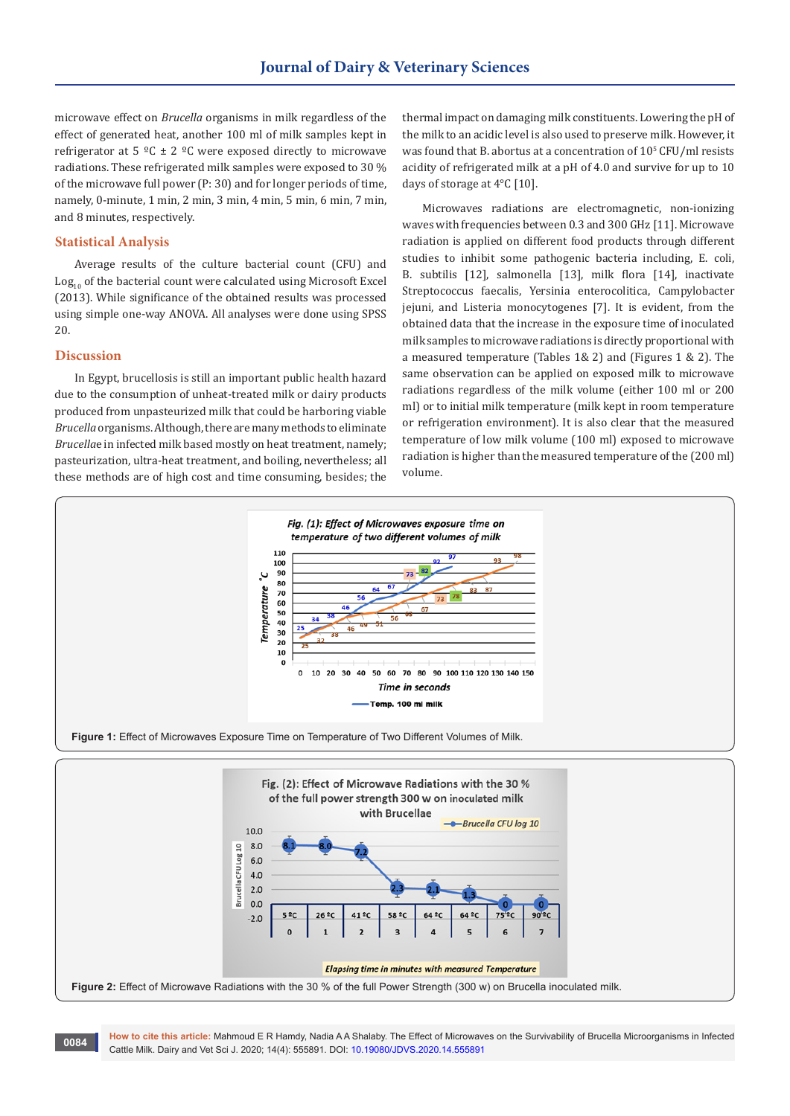microwave effect on *Brucella* organisms in milk regardless of the effect of generated heat, another 100 ml of milk samples kept in refrigerator at 5  $^{\circ}$ C ± 2  $^{\circ}$ C were exposed directly to microwave radiations. These refrigerated milk samples were exposed to 30 % of the microwave full power (P: 30) and for longer periods of time, namely, 0-minute, 1 min, 2 min, 3 min, 4 min, 5 min, 6 min, 7 min, and 8 minutes, respectively.

### **Statistical Analysis**

Average results of the culture bacterial count (CFU) and  $Log<sub>10</sub>$  of the bacterial count were calculated using Microsoft Excel (2013). While significance of the obtained results was processed using simple one-way ANOVA. All analyses were done using SPSS 20.

#### **Discussion**

In Egypt, brucellosis is still an important public health hazard due to the consumption of unheat-treated milk or dairy products produced from unpasteurized milk that could be harboring viable *Brucella* organisms. Although, there are many methods to eliminate *Brucella*e in infected milk based mostly on heat treatment, namely; pasteurization, ultra-heat treatment, and boiling, nevertheless; all these methods are of high cost and time consuming, besides; the

thermal impact on damaging milk constituents. Lowering the pH of the milk to an acidic level is also used to preserve milk. However, it was found that B. abortus at a concentration of  $10^{\circ}$  CFU/ml resists acidity of refrigerated milk at a pH of 4.0 and survive for up to 10 days of storage at 4°C [10].

Microwaves radiations are electromagnetic, non-ionizing waves with frequencies between 0.3 and 300 GHz [11]. Microwave radiation is applied on different food products through different studies to inhibit some pathogenic bacteria including, E. coli, B. subtilis [12], salmonella [13], milk flora [14], inactivate Streptococcus faecalis, Yersinia enterocolitica, Campylobacter jejuni, and Listeria monocytogenes [7]. It is evident, from the obtained data that the increase in the exposure time of inoculated milk samples to microwave radiations is directly proportional with a measured temperature (Tables 1& 2) and (Figures 1 & 2). The same observation can be applied on exposed milk to microwave radiations regardless of the milk volume (either 100 ml or 200 ml) or to initial milk temperature (milk kept in room temperature or refrigeration environment). It is also clear that the measured temperature of low milk volume (100 ml) exposed to microwave radiation is higher than the measured temperature of the (200 ml) volume.





**How to cite this article:** Mahmoud E R Hamdy, Nadia A A Shalaby. The Effect of Microwaves on the Survivability of Brucella Microorganisms in Infected Cattle Milk. Dairy and Vet Sci J. 2020; 14(4): 555891. DOI: [10.19080/JDVS.2020.14.555891](http://dx.doi.org/10.19080/JDVS.2020.14.555891) **<sup>0084</sup>**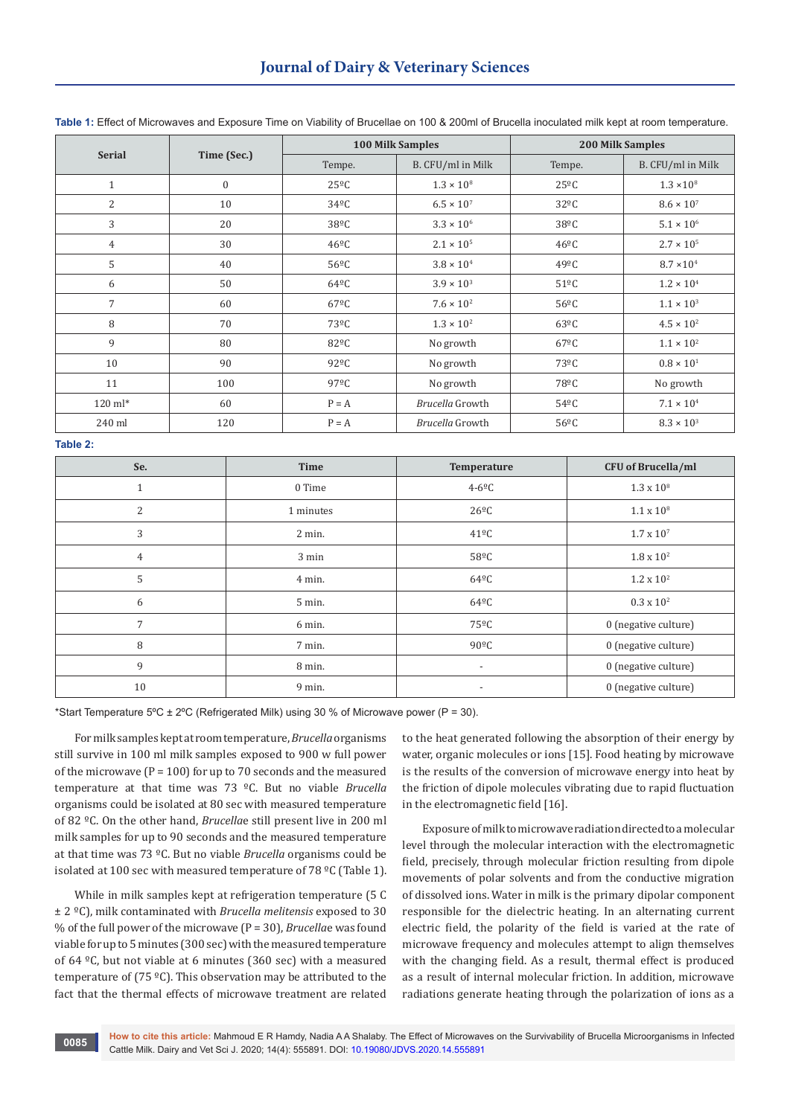# **Journal of Dairy & Veterinary Sciences**

| <b>Serial</b>  | Time (Sec.)      | <b>100 Milk Samples</b> |                     | <b>200 Milk Samples</b> |                     |
|----------------|------------------|-------------------------|---------------------|-------------------------|---------------------|
|                |                  | Tempe.                  | B. CFU/ml in Milk   | Tempe.                  | B. CFU/ml in Milk   |
| $\mathbf{1}$   | $\boldsymbol{0}$ | $25^{\circ}$ C          | $1.3 \times 10^8$   | $25^{\circ}$ C          | $1.3 \times 10^8$   |
| $\overline{2}$ | 10               | $34^{\circ}$ C          | $6.5 \times 10^{7}$ | $32^{\circ}$ C          | $8.6 \times 10^{7}$ |
| 3              | 20               | $38^{\circ}$ C          | $3.3 \times 10^{6}$ | $38^{\circ}$ C          | $5.1 \times 10^{6}$ |
| $\overline{4}$ | 30               | $46^{\circ}$ C          | $2.1 \times 10^{5}$ | $46^{\circ}$ C          | $2.7 \times 10^{5}$ |
| 5              | 40               | $56^{\circ}$ C          | $3.8 \times 10^{4}$ | $49^{\circ}$ C          | $8.7 \times 10^{4}$ |
| 6              | 50               | $64^{\circ}$ C          | $3.9 \times 10^{3}$ | $51^{\circ}$ C          | $1.2 \times 10^{4}$ |
| $\overline{7}$ | 60               | 67 <sup>o</sup> C       | $7.6 \times 10^{2}$ | $56^{\circ}$ C          | $1.1 \times 10^{3}$ |
| 8              | 70               | 73°C                    | $1.3 \times 10^{2}$ | $63^{\circ}$ C          | $4.5 \times 10^{2}$ |
| 9              | 80               | 82°C                    | No growth           | $67^{\circ}$ C          | $1.1 \times 10^{2}$ |
| 10             | 90               | 92 <sup>o</sup> C       | No growth           | 73 <sup>o</sup> C       | $0.8 \times 10^{1}$ |
| 11             | 100              | $97^{\circ}$ C          | No growth           | 78°C                    | No growth           |
| 120 ml*        | 60               | $P = A$                 | Brucella Growth     | 54 <sup>o</sup> C       | $7.1 \times 10^{4}$ |
| 240 ml         | 120              | $P = A$                 | Brucella Growth     | $56^{\circ}$ C          | $8.3 \times 10^{3}$ |

**Table 1:** Effect of Microwaves and Exposure Time on Viability of Brucellae on 100 & 200ml of Brucella inoculated milk kept at room temperature.

**Table 2:**

| $15010 - 11$   |           |                          |                           |  |  |  |
|----------------|-----------|--------------------------|---------------------------|--|--|--|
| Se.            | Time      | Temperature              | <b>CFU</b> of Brucella/ml |  |  |  |
| 1              | 0 Time    | $4-6^{\circ}C$           | $1.3 \times 10^{8}$       |  |  |  |
| $\overline{2}$ | 1 minutes | $26^{\circ}$ C           | $1.1 \times 10^8$         |  |  |  |
| 3              | 2 min.    | $41^{\circ}$ C           | $1.7 \times 10^{7}$       |  |  |  |
| $\overline{4}$ | 3 min     | 58°C                     | $1.8 \times 10^{2}$       |  |  |  |
| 5              | 4 min.    | $64^{\circ}$ C           | $1.2 \times 10^{2}$       |  |  |  |
| 6              | 5 min.    | $64^{\circ}$ C           | $0.3 \times 10^{2}$       |  |  |  |
| 7              | 6 min.    | 75ºC                     | 0 (negative culture)      |  |  |  |
| 8              | 7 min.    | $90^{\circ}$ C           | 0 (negative culture)      |  |  |  |
| 9              | 8 min.    | $\overline{\phantom{a}}$ | 0 (negative culture)      |  |  |  |
| 10             | 9 min.    | $\overline{\phantom{a}}$ | 0 (negative culture)      |  |  |  |

\*Start Temperature 5°C  $\pm$  2°C (Refrigerated Milk) using 30 % of Microwave power (P = 30).

For milk samples kept at room temperature, *Brucella* organisms still survive in 100 ml milk samples exposed to 900 w full power of the microwave ( $P = 100$ ) for up to 70 seconds and the measured temperature at that time was 73 ºC. But no viable *Brucella* organisms could be isolated at 80 sec with measured temperature of 82 ºC. On the other hand, *Brucella*e still present live in 200 ml milk samples for up to 90 seconds and the measured temperature at that time was 73 ºC. But no viable *Brucella* organisms could be isolated at 100 sec with measured temperature of 78  $^{\circ}$ C (Table 1).

While in milk samples kept at refrigeration temperature (5 C ± 2 ºC), milk contaminated with *Brucella melitensis* exposed to 30 % of the full power of the microwave (P = 30), *Brucella*e was found viable for up to 5 minutes (300 sec) with the measured temperature of 64 ºC, but not viable at 6 minutes (360 sec) with a measured temperature of (75 ºC). This observation may be attributed to the fact that the thermal effects of microwave treatment are related

to the heat generated following the absorption of their energy by water, organic molecules or ions [15]. Food heating by microwave is the results of the conversion of microwave energy into heat by the friction of dipole molecules vibrating due to rapid fluctuation in the electromagnetic field [16].

Exposure of milk to microwave radiation directed to a molecular level through the molecular interaction with the electromagnetic field, precisely, through molecular friction resulting from dipole movements of polar solvents and from the conductive migration of dissolved ions. Water in milk is the primary dipolar component responsible for the dielectric heating. In an alternating current electric field, the polarity of the field is varied at the rate of microwave frequency and molecules attempt to align themselves with the changing field. As a result, thermal effect is produced as a result of internal molecular friction. In addition, microwave radiations generate heating through the polarization of ions as a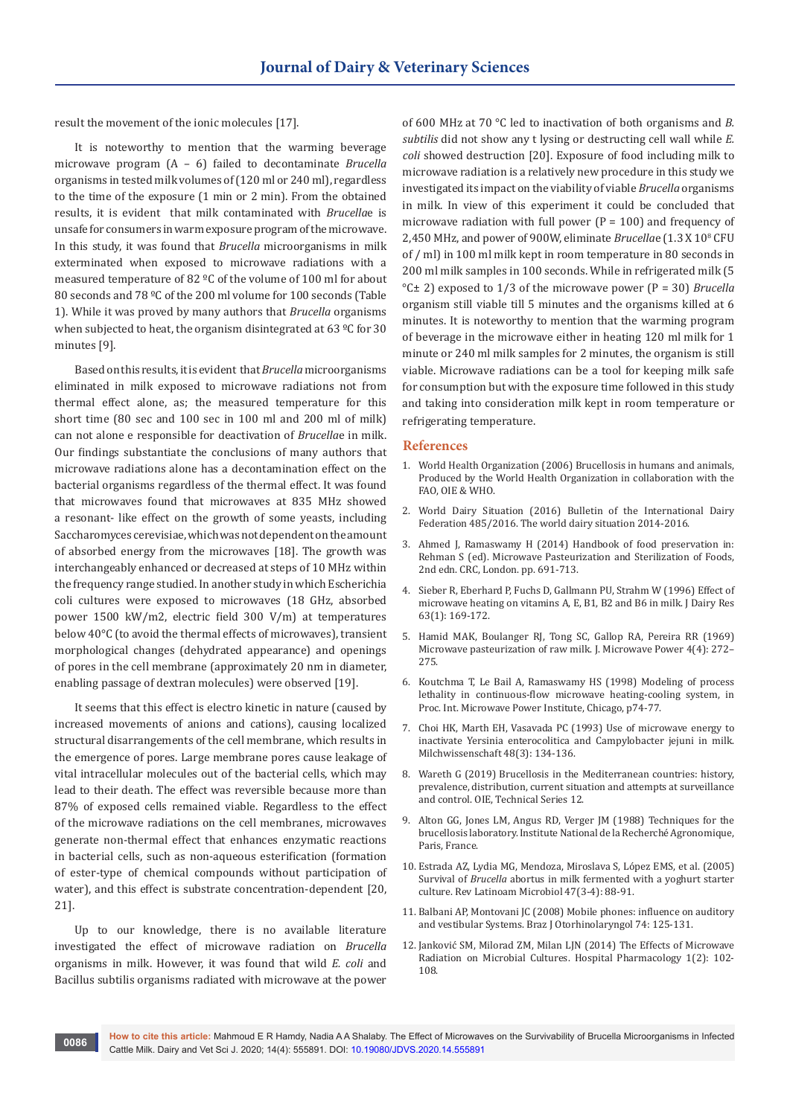result the movement of the ionic molecules [17].

It is noteworthy to mention that the warming beverage microwave program (A – 6) failed to decontaminate *Brucella* organisms in tested milk volumes of (120 ml or 240 ml), regardless to the time of the exposure (1 min or 2 min). From the obtained results, it is evident that milk contaminated with *Brucella*e is unsafe for consumers in warm exposure program of the microwave. In this study, it was found that *Brucella* microorganisms in milk exterminated when exposed to microwave radiations with a measured temperature of 82 ºC of the volume of 100 ml for about 80 seconds and 78 ºC of the 200 ml volume for 100 seconds (Table 1). While it was proved by many authors that *Brucella* organisms when subjected to heat, the organism disintegrated at 63 °C for 30 minutes [9].

Based on this results, it is evident that *Brucella* microorganisms eliminated in milk exposed to microwave radiations not from thermal effect alone, as; the measured temperature for this short time (80 sec and 100 sec in 100 ml and 200 ml of milk) can not alone e responsible for deactivation of *Brucella*e in milk. Our findings substantiate the conclusions of many authors that microwave radiations alone has a decontamination effect on the bacterial organisms regardless of the thermal effect. It was found that microwaves found that microwaves at 835 MHz showed a resonant- like effect on the growth of some yeasts, including Saccharomyces cerevisiae, which was not dependent on the amount of absorbed energy from the microwaves [18]. The growth was interchangeably enhanced or decreased at steps of 10 MHz within the frequency range studied. In another study in which Escherichia coli cultures were exposed to microwaves (18 GHz, absorbed power 1500 kW/m2, electric field 300 V/m) at temperatures below 40°C (to avoid the thermal effects of microwaves), transient morphological changes (dehydrated appearance) and openings of pores in the cell membrane (approximately 20 nm in diameter, enabling passage of dextran molecules) were observed [19].

It seems that this effect is electro kinetic in nature (caused by increased movements of anions and cations), causing localized structural disarrangements of the cell membrane, which results in the emergence of pores. Large membrane pores cause leakage of vital intracellular molecules out of the bacterial cells, which may lead to their death. The effect was reversible because more than 87% of exposed cells remained viable. Regardless to the effect of the microwave radiations on the cell membranes, microwaves generate non-thermal effect that enhances enzymatic reactions in bacterial cells, such as non-aqueous esterification (formation of ester-type of chemical compounds without participation of water), and this effect is substrate concentration-dependent [20, 21].

Up to our knowledge, there is no available literature investigated the effect of microwave radiation on *Brucella* organisms in milk. However, it was found that wild *E. coli* and Bacillus subtilis organisms radiated with microwave at the power of 600 MHz at 70 °C led to inactivation of both organisms and *B. subtilis* did not show any t lysing or destructing cell wall while *E. coli* showed destruction [20]. Exposure of food including milk to microwave radiation is a relatively new procedure in this study we investigated its impact on the viability of viable *Brucella* organisms in milk. In view of this experiment it could be concluded that microwave radiation with full power ( $P = 100$ ) and frequency of 2,450 MHz, and power of 900W, eliminate *Brucella*e (1.3 X 10<sup>8</sup> CFU of / ml) in 100 ml milk kept in room temperature in 80 seconds in 200 ml milk samples in 100 seconds. While in refrigerated milk (5 °C± 2) exposed to 1/3 of the microwave power (P = 30) *Brucella* organism still viable till 5 minutes and the organisms killed at 6 minutes. It is noteworthy to mention that the warming program of beverage in the microwave either in heating 120 ml milk for 1 minute or 240 ml milk samples for 2 minutes, the organism is still viable. Microwave radiations can be a tool for keeping milk safe for consumption but with the exposure time followed in this study and taking into consideration milk kept in room temperature or refrigerating temperature.

#### **References**

- 1. World Health Organization (2006) Brucellosis in humans and animals, Produced by the World Health Organization in collaboration with the FAO, OIE & WHO.
- 2. World Dairy Situation (2016) Bulletin of the International Dairy Federation 485/2016. The world dairy situation 2014-2016.
- 3. Ahmed J, Ramaswamy H (2014) Handbook of food preservation in: Rehman S (ed). Microwave Pasteurization and Sterilization of Foods, 2nd edn. CRC, London. pp. 691-713.
- 4. [Sieber R, Eberhard P, Fuchs D, Gallmann PU, Strahm W \(1996\) Effect of](https://www.ncbi.nlm.nih.gov/pubmed/8655740)  [microwave heating on vitamins A, E, B1, B2 and B6 in milk. J Dairy Res](https://www.ncbi.nlm.nih.gov/pubmed/8655740)  [63\(1\): 169-172.](https://www.ncbi.nlm.nih.gov/pubmed/8655740)
- 5. [Hamid MAK, Boulanger RJ, Tong SC, Gallop RA, Pereira RR \(1969\)](https://www.tandfonline.com/doi/abs/10.1080/00222739.1969.11688733?journalCode=tpee19)  [Microwave pasteurization of raw milk. J. Microwave Power 4\(4\): 272–](https://www.tandfonline.com/doi/abs/10.1080/00222739.1969.11688733?journalCode=tpee19) [275.](https://www.tandfonline.com/doi/abs/10.1080/00222739.1969.11688733?journalCode=tpee19)
- 6. Koutchma T, Le Bail A, Ramaswamy HS (1998) Modeling of process lethality in continuous-flow microwave heating-cooling system, in Proc. Int. Microwave Power Institute, Chicago, p74-77.
- 7. Choi HK, Marth EH, Vasavada PC (1993) Use of microwave energy to inactivate Yersinia enterocolitica and Campylobacter jejuni in milk. Milchwissenschaft 48(3): 134-136.
- 8. Wareth G (2019) Brucellosis in the Mediterranean countries: history, prevalence, distribution, current situation and attempts at surveillance and control. OIE, Technical Series 12.
- 9. Alton GG, Jones LM, Angus RD, Verger JM (1988) Techniques for the brucellosis laboratory. Institute National de la Recherché Agronomique, Paris, France.
- 10. [Estrada AZ, Lydia MG, Mendoza, Miroslava S, López EMS, et al. \(2005\)](https://www.medigraphic.com/pdfs/lamicro/mi-2005/mi05-3_4e.pdf)  Survival of *Brucella* [abortus in milk fermented with a yoghurt starter](https://www.medigraphic.com/pdfs/lamicro/mi-2005/mi05-3_4e.pdf)  [culture. Rev Latinoam Microbiol 47\(3-4\): 88-91.](https://www.medigraphic.com/pdfs/lamicro/mi-2005/mi05-3_4e.pdf)
- 11. [Balbani AP, Montovani JC \(2008\) Mobile phones: influence on auditory](http://www.scielo.br/scielo.php?script=sci_arttext&pid=S0034-72992008000100020&lng=en&nrm=iso&tlng=en)  [and vestibular Systems. Braz J Otorhinolaryngol 74: 125-131.](http://www.scielo.br/scielo.php?script=sci_arttext&pid=S0034-72992008000100020&lng=en&nrm=iso&tlng=en)
- 12. [Janković SM, Milorad ZM, Milan LJN \(2014\) The Effects of Microwave](https://pdfs.semanticscholar.org/5501/3a886a0f0d60f65c8379ee5dc3a1577ac00e.pdf)  [Radiation on Microbial Cultures. Hospital Pharmacology 1\(2\): 102-](https://pdfs.semanticscholar.org/5501/3a886a0f0d60f65c8379ee5dc3a1577ac00e.pdf) [108.](https://pdfs.semanticscholar.org/5501/3a886a0f0d60f65c8379ee5dc3a1577ac00e.pdf)